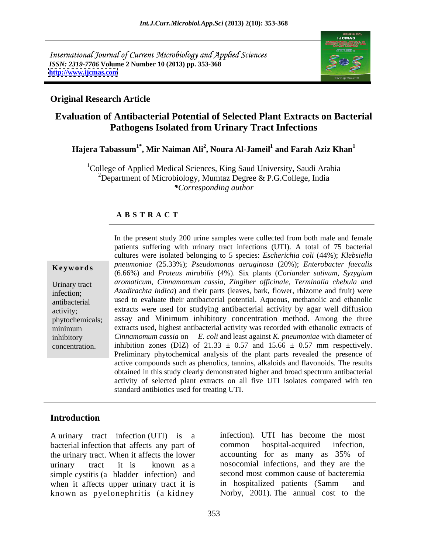International Journal of Current Microbiology and Applied Sciences *ISSN: 2319-7706* **Volume 2 Number 10 (2013) pp. 353-368 <http://www.ijcmas.com>**



### **Original Research Article**

### **Evaluation of Antibacterial Potential of Selected Plant Extracts on Bacterial Pathogens Isolated from Urinary Tract Infections**

 $\mathbf{H}$ ajera Tabassum $^{1*}$ , Mir Naiman Ali $^{2}$ , Noura Al-Jameil $^{1}$  and Farah Aziz  $\mathbf{K}$ han $^{1}$  **and Farah Aziz Khan<sup>1</sup>**

<sup>1</sup>College of Applied Medical Sciences, King Saud University, Saudi Arabia <sup>2</sup>Department of Microbiology, Mumtaz Degree & P.G.College, India *\*Corresponding author*

### **A B S T R A C T**

**Ke ywo rds** *pneumoniae* (25.33%); *Pseudomonas aeruginosa* (20%); *Enterobacter faecalis* Urinary tract *aromaticum, Cinnamomum cassia, Zingiber of icinale, Terminalia chebula and* infection; *Azadirachta indica*) and their parts (leaves, bark, flower, rhizome and fruit) were antibacterial used to evaluate their antibacterial potential. Aqueous, methanolic and ethanolic activity; extracts were used for studying antibacterial activity by agar well diffusion phytochemicals; assay and Minimum inhibitory concentration method. Among the three minimum extracts used, highest antibacterial activity was recorded with ethanolic extracts of inhibitory *Cinnamomum cassia* on *E. coli* and least against *K. pneumoniae* with diameter of In the present study 200 urine samples were collected from both male and female<br>patients suffering with urinary tract infections (UTI). A total of 75 bacterial<br>cultures were isolated belonging to 5 species: *Escherichia c* patients suffering with urinary tract infections (UTI). A total of 75 bacterial cultures were isolated belonging to 5 species: *Escherichia coli* (44%); *Klebsiella*  (6.66%) and *Proteus mirabilis* (4%). Six plants (*Coriander sativum, Syzygium* inhibition zones (DIZ) of 21.33  $\pm$  0.57 and 15.66  $\pm$  0.57 mm respectively. Preliminary phytochemical analysis of the plant parts revealed the presence of active compounds such as phenolics, tannins, alkaloids and flavonoids. The results obtained in this study clearly demonstrated higher and broad spectrum antibacterial activity of selected plant extracts on all five UTI isolates compared with ten standard antibiotics used for treating UTI.

### **Introduction**

A urinary tract infection (UTI) is a bacterial infection that affects any part of common hospital-acquired infection, the urinary tract. When it affects the lower accounting for as many as 35% of urinary tract it is known as a nosocomial infections,and they are the simple cystitis (a bladder infection) and when it affects upper urinary tract it is in hospitalized patients (Samm and known as pyelonephritis (a kidney

infection). UTI has become the most common hospital-acquired infection, accounting for as many as 35% of second most common cause of bacteremia in hospitalized patients (Samm and Norby, 2001). The annual cost to the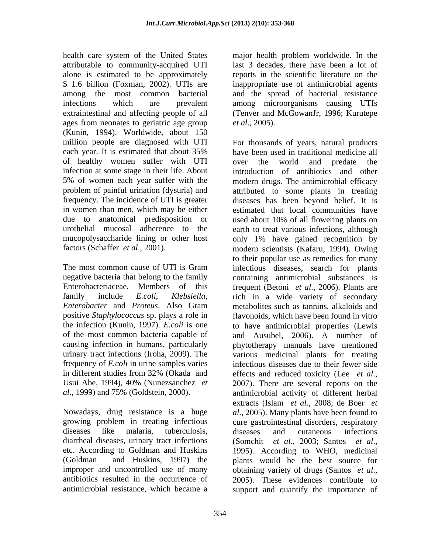health care system of the United States major health problem worldwide. In the attributable to community-acquired UTI alone is estimated to be approximately reports in the scientific literature on the \$ 1.6 billion (Foxman, 2002). UTIs are inappropriate use of antimicrobial agents among the most common bacterial and the spread of bacterial resistance infections which are prevalent among microorganisms causing UTIs extraintestinal and affecting people of all (Tenver and McGowanJr, 1996; Kurutepe ages from neonates to geriatric age group *et al.*, 2005). (Kunin, 1994). Worldwide, about 150 million people are diagnosed with UTI of healthy women suffer with UTI in women than men, which may be either<br>due to anatomical predisposition or mucopolysaccharide lining or other host only 1% have gained recognition by

positive *Staphylococcus* sp. plays a role in urinary tract infections (Iroha, 2009). The Usui Abe, 1994), 40% (Nunezsanchez *et* 2007). There are several reports on the

diarrheal diseases, urinary tract infections (Somchit et al., 2003; Santos et al., etc. According to Goldman and Huskins improper and uncontrolled use of many obtaining variety of drugs (Santos et al., antibiotics resulted in the occurrence of 2005). These evidences contribute to

major health problem worldwide. In the last 3 decades, there have been a lot of reports in the scientific literature on the inappropriate use of antimicrobial agents *et al*., 2005).

each year. It is estimated that about 35% infection at some stage in their life. About introduction of antibiotics and other 5% of women each year suffer with the modern drugs. The antimicrobial efficacy problem of painful urination (dysuria) and attributed to some plants in treating frequency. The incidence of UTI is greater diseases has been beyond belief. It is used about 10% of all flowering plants on urothelial mucosal adherence to the earth to treat various infections, although factors (Schaffer *et al*., 2001). modern scientists (Kafaru, 1994). Owing The most common cause of UTI is Gram infectious diseases, search for plants negative bacteria that belong to the family containing antimicrobial substances is Enterobacteriaceae. Members of this frequent (Betoni *et al*., 2006). Plants are family include *E.coli*, *Klebsiella,*  rich in a wide variety of secondary *Enterobacter* and *Proteus*. Also Gram the infection (Kunin, 1997). *E.coli* is one to have antimicrobial properties (Lewis of the most common bacteria capable of and Ausubel, 2006). A number of causing infection in humans, particularly phytotherapy manuals have mentioned frequency of *E.coli* in urine samples varies infectious diseases due to their fewer side in different studies from 32% (Okada and effects and reduced toxicity (Lee et al., *al*., 1999) and 75% (Goldstein, 2000). antimicrobial activity of different herbal Nowadays, drug resistance is a huge *al*., 2005). Many plants have been found to growing problem in treating infectious cure gastrointestinal disorders, respiratory diseases like malaria, tuberculosis, diseases and cutaneous infections (Goldman and Huskins, 1997) the plants would be the best source for antimicrobial resistance, which became a support and quantify the importance ofFor thousands of years, natural products have been used in traditional medicine all over the world and predate the estimated that local communities have used about 10% of all flowering plants on only 1% have gained recognition by to their popular use as remedies for many metabolites such as tannins, alkaloids and flavonoids, which have been found in vitro various medicinal plants for treating effects and reduced toxicity (Lee *et al*., 2007). There are several reports on the extracts (Islam *et al*., 2008; de Boer *et*  diseases and cutaneous infections (Somchit *et al*., 2003; Santos *et al*., 1995). According to WHO, medicinal obtaining variety of drugs (Santos *et al*., 2005). These evidences contribute to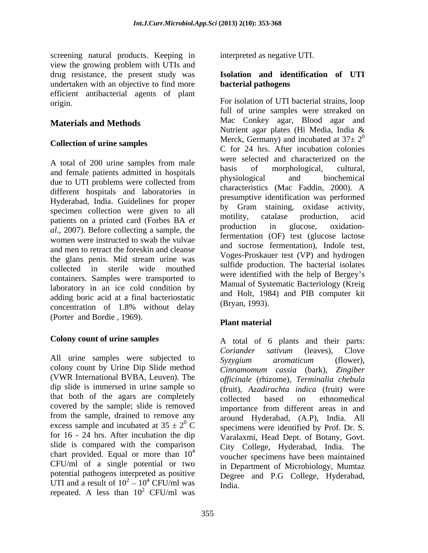screening natural products. Keeping in view the growing problem with UTIs and drug resistance, the present study was **Isolation and identification of UTI**  undertaken with an objective to find more **bacterial pathogens** efficient antibacterial agents of plant

### **Collection of urine samples**

and female patients admitted in hospitals<br>that a physiological and biochemical<br>that LIT methods many polleted from the physiological and biochemical different hospitals and laboratories in Hyderabad, India. Guidelines for proper specimen collection were given to all<br>notifity, catalase production, acid patients on a printed card (Forbes BA *et* motify, catalase production, action<br>and production in glucose, oxidation*al*., 2007). Before collecting a sample, the women were instructed to swab the vulvae and men to retract the foreskin and cleanse containers. Samples were transported to laboratory in an ice cold condition by adding boric acid at a final bacteriostatic concentration of  $1.8\%$  without delay  $(Dxy)$ . (Porter and Bordie , 1969).

All urine samples were subjected to  $Syzygium$  aromaticum (flower), colony count by Urine Dip Slide method dip slide is immersed in urine sample so that both of the agars are completely collected based on ethnomedical covered by the sample; slide is removed from the sample, drained to remove any excess sample and incubated at  $35 \pm 2^{0}$  C for 16 - 24 hrs. After incubation the dip slide is compared with the comparison chart provided. Equal or more than  $10<sup>4</sup>$ CFU/ml of a single potential or two potential pathogens interpreted as positive UTI and a result of  $10^2 - 10^4$  CFU/ml was repeated. A less than  $10^2$  CFU/ml was  $2$  CFU/ml was

interpreted as negative UTI.

# **bacterial pathogens**

origin. For isolation of UTI bacterial strains, loop **Materials and Methods** Mac Conkey agar, Blood agar and Materials and Methods A total of 200 urine samples from male due to UTI problems were collected from the physiological and proclientical the glans penis. Mid stream urine was  $V^{O}$ ges-rios auch test (VF) and hydrogen collected in sterile wide mouthed surface production. The bacterial isolates full of urine samples were streaked on Nutrient agar plates (Hi Media, India & Merck, Germany) and incubated at  $37\pm 2^0$ 0 C for 24 hrs. After incubation colonies were selected and characterized on the basis of morphological, cultural, physiological and biochemical characteristics (Mac Faddin, 2000). A presumptive identification was performed by Gram staining, oxidase activity, motility, catalase production, acid production in glucose, oxidationfermentation (OF) test (glucose lactose and sucrose fermentation), Indole test, Voges-Proskauer test (VP) and hydrogen sulfide production. The bacterial isolates were identified with the help of Bergey's Manual of Systematic Bacteriology (Kreig and Holt, 1984) and PIB computer kit (Bryan, 1993).

### **Plant material**

**Colony count of urine samples** A total of 6 plants and their parts: (VWR International BVBA, Leuven). The *officinale* (rhizome), *Terminalia chebula*  $\overline{C}$  specimens were identified by Prof. Dr. S.  $\frac{4}{4}$   $\frac{64}{3}$   $\frac{64}{3}$   $\frac{64}{3}$   $\frac{64}{3}$   $\frac{64}{3}$   $\frac{64}{3}$   $\frac{64}{3}$   $\frac{64}{3}$   $\frac{64}{3}$   $\frac{64}{3}$   $\frac{64}{3}$   $\frac{64}{3}$   $\frac{64}{3}$   $\frac{64}{3}$   $\frac{64}{3}$   $\frac{64}{3}$   $\frac{64}{3}$   $\frac{64}{3}$   $\frac{64}{3}$   $\$  $^{2}$  10<sup>4</sup> CEU/ml wes  $10^4$  CFU/ml was India  $^{4}$  CFU/ml was India *Coriander sativum* (leaves), Clove *Syzygium aromaticum* (flower), *Cinnamomum cassia* (bark), *Zingiber*  (fruit), *Azadirachta indica* (fruit) were collected based on ethnomedical importance from different areas in and around Hyderabad, (A.P), India. All Varalaxmi, Head Dept. of Botany, Govt. City College, Hyderabad, India. The voucher specimens have been maintained in Department of Microbiology, Mumtaz Degree and P.G College, Hyderabad, India.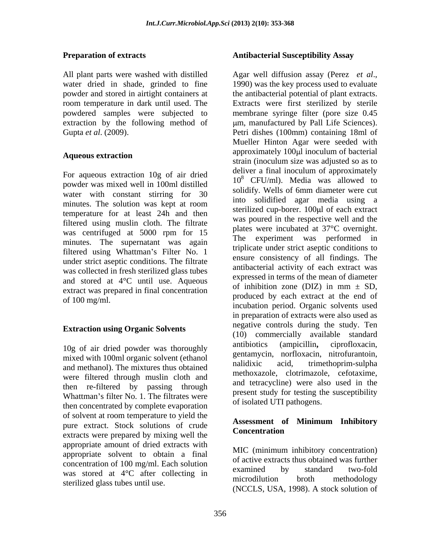All plant parts were washed with distilled Agar well diffusion assay (Perez et al., water dried in shade, grinded to fine 1990) was the key process used to evaluate

For aqueous extraction 10g of air dried powder was mixed well in 100ml distilled water with constant stirring for 30 minutes. The solution was kept at room temperature for at least 24h and then filtered using muslin cloth. The filtrate was centrifuged at 5000 rpm for 15 places minutes. The supernatant was again filtered using Whattman's Filter No. 1 under strict aseptic conditions. The filtrate was collected in fresh sterilized glass tubes and stored at  $4^{\circ}$ C until use. Aqueous expressed in terms of the mean of diameter<br>of inhibition zone (DIZ) in mm  $\pm$  SD, extract was prepared in final concentration<br>of 100 ma/ml  $\frac{1}{2}$  for  $\frac{1}{2}$  for  $\frac{1}{2}$  for  $\frac{1}{2}$  for  $\frac{1}{2}$  for  $\frac{1}{2}$  for  $\frac{1}{2}$  for  $\frac{1}{2}$  for  $\frac{1}{2}$  for  $\frac{1}{2}$  for  $\frac{1}{2}$  for  $\frac{1}{2}$ 

### **Extraction using Organic Solvents**

mixed with 100ml organic solvent (ethanol gentamycin, norrioxacin, nitroturantoin, <br>nalidixic acid, trimethoprim-sulpha and methanol). The mixtures thus obtained were filtered through muslin cloth and then re-filtered by passing through Whattman's filter No. 1. The filtrates were then concentrated by complete evaporation of solvent at room temperature to yield the pure extract. Stock solutions of crude **Assessment of**<br> **Concentration** extracts were prepared by mixing well the appropriate amount of dried extracts with appropriate solvent to obtain a final concentration of 100 mg/ml. Each solution<br>examined by standard two-fold was stored at  $4^{\circ}$ C after collecting in  $\frac{1}{2}$  examined by standard two-lold sterilized glass tubes until use.

### **Preparation of extracts Antibacterial Susceptibility Assay**

powder and stored in airtight containers at the antibacterial potential of plant extracts. room temperature in dark until used. The Extracts were first sterilized by sterile powdered samples were subjected to membrane syringe filter (pore size 0.45 extraction by the following method of  $\mu$ m, manufactured by Pall Life Sciences). Gupta *et al*. (2009). Petri dishes (100mm) containing 18ml of **Aqueous extraction** approximately room modulum or bacterial of  $100 \text{ mg/ml}$ . 10g of air dried powder was thoroughly antibiotics (ampicillin, ciprofloxacin, Agar well diffusion assay (Perez *et al*., 1990) was the key process used to evaluate Mueller Hinton Agar were seeded with approximately 100 $\mu$ l inoculum of bacterial strain (inoculum size was adjusted so as to deliver a final inoculum of approximately  $10^8$  CFU/ml). Media was allowed to solidify. Wells of 6mm diameter were cut into solidified agar media using a sterilized cup-borer. 100µl of each extract was poured in the respective well and the plates were incubated at 37°C overnight. experiment was performed in triplicate under strict aseptic conditions to ensure consistency of all findings. The antibacterial activity of each extract was expressed in terms of the mean of diameter of inhibition zone (DIZ) in mm  $\pm$  SD, produced by each extract at the end of incubation period. Organic solvents used in preparation of extracts were also used as negative controls during the study. Ten (10) commercially available standard antibiotics (ampicillin**,** ciprofloxacin, gentamycin, norfloxacin, nitrofurantoin, nalidixic acid, trimethoprim-sulpha methoxazole, clotrimazole, cefotaxime, and tetracycline) were also used in the present study for testing the susceptibility of isolated UTI pathogens.

### **Assessment of Minimum Inhibitory Concentration**

MIC (minimum inhibitory concentration) of active extracts thus obtained was further examined by standard two-fold microdilution broth methodology (NCCLS, USA, 1998). A stock solution of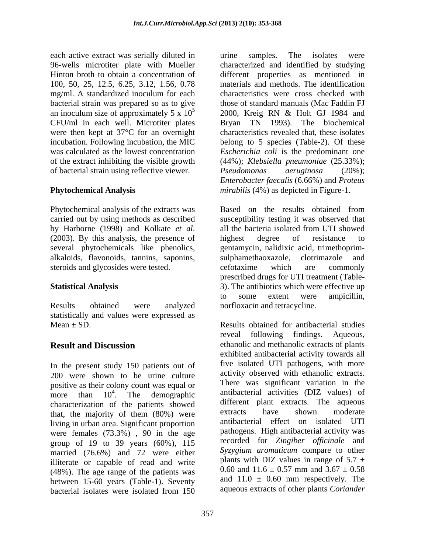each active extract was serially diluted in The samples. The isolates were 100, 50, 25, 12.5, 6.25, 3.12, 1.56, 0.78 CFU/ml in each well. Microtiter plates were then kept at 37°C for an overnight of bacterial strain using reflective viewer. *Pseudomonas aeruginosa* (20%);

Phytochemical analysis of the extracts was (2003). By this analysis, the presence of highest degree of resistance to alkaloids, flavonoids, tannins, saponins, steroids and glycosides were tested. effortaxime which are commonly

statistically and values were expressed as

In the present study 150 patients out of 200 were shown to be urine culture positive as their colony count was equal or<br>more than  $10^4$ . The demographic more than 10<sup>4</sup>. The demographic antibacterial activities (DIZ values) of characterization of the patients showed<br>that the majority of them (200) were extracts have shown moderate that, the majority of them (80%) were living in urban area. Significant proportion were females (73.3%) , 90 in the age group of 19 to 39 years (60%), 115 married (76.6%) and 72 were either illiterate or capable of read and write plants with DIZ values in range of 5.7  $\pm$  (48%). The age range of the patients was 0.60 and 11.6  $\pm$  0.57 mm and 3.67  $\pm$  0.58 (48%). The age range of the patients was between 15-60 years (Table-1). Seventy<br>bacterial isolates were isolated from 150 bacterial isolates were isolated from 150 aqueous extracts of other plants Coriander

96-wells microtiter plate with Mueller characterized and identified by studying Hinton broth to obtain a concentration of different properties as mentioned in mg/ml. A standardized inoculum for each characteristics were cross checked with bacterial strain was prepared so as to give those of standard manuals (Mac Faddin FJ an inoculum size of approximately 5 x  $10^5$  2000, Kreig RN & Holt GJ 1984 and incubation. Following incubation, the MIC belong to 5 species (Table-2). Of these was calculated as the lowest concentration *Escherichia coli* is the predominant one of the extract inhibiting the visible growth (44%); *Klebsiella pneumoniae* (25.33%); **Phytochemical Analysis** mirabilis (4%) as depicted in Figure-1. urine samples. The isolates were materials and methods. The identification characteristics were cross checked with Bryan TN 1993). The biochemical characteristics revealed that, these isolates *Pseudomonas aeruginosa* (20%); *Enterobacter faecalis* (6.66%) and *Proteus* 

carried out by using methods as described susceptibility testing it was observed that by Harborne (1998) and Kolkate *et al*. all the bacteria isolated from UTI showed several phytochemicals like phenolics, gentamycin, nalidixic acid, trimethoprim- **Statistical Analysis** 3). The antibiotics which were effective up Results obtained were analyzed norfloxacin and tetracycline. *mirabilis* (4%) as depicted in Figure-1.<br>Based on the results obtained from highest degree of resistance to sulphamethaoxazole, clotrimazole and cefotaxime which are commonly prescribed drugs for UTI treatment (Table to some extent were ampicillin, norfloxacin and tetracycline.

 $Mean \pm SD$ . Results obtained for antibacterial studies **Result and Discussion** ethanolic and methanolic extracts of plants reveal following findings. Aqueous, exhibited antibacterial activity towards all five isolated UTI pathogens, with more activity observed with ethanolic extracts. There was significant variation in the different plant extracts. The aqueous extracts have shown moderate antibacterial effect on isolated UTI pathogens. High antibacterial activity was recorded for *Zingiber officinale* and *Syzygium aromaticum* compare to other plants with DIZ values in range of  $5.7 \pm$ 0.60 and  $11.6 \pm 0.57$  mm and  $3.67 \pm 0.58$ and  $11.0 \pm 0.60$  mm respectively. The aqueous extracts of other plants *Coriander*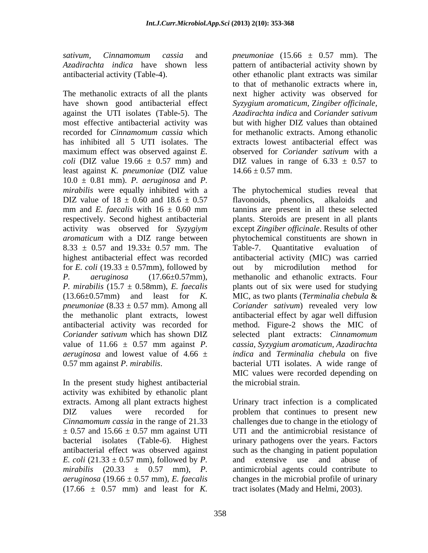*sativum, Cinnamomum cassia* and *pneumoniae* (15.66 ± 0.57 mm). The

The methanolic extracts of all the plants are next higher activity was observed for have shown good antibacterial effect *Syzygium aromaticum*, Z*ingiber of icinale,* against the UTI isolates (Table-5). The Azadirachta indica and Coriander sativum most effective antibacterial activity was but with higher DIZ values than obtained recorded for *Cinnamomum cassia* which for methanolic extracts. Among ethanolic has inhibited all 5 UTI isolates. The maximum effect was observed against *E. coli* (DIZ value 19.66  $\pm$  0.57 mm) and DIZ values in range of 6.33  $\pm$  0.57 to least against *K. pneumoniae* (DIZ value 10.0 ± 0.81 mm). *P. aeruginosa* and *P.*  DIZ value of  $18 \pm 0.60$  and  $18.6 \pm 0.57$  flavonoids, phenolics, alkaloids and  $8.33 \pm 0.57$  and  $19.33 \pm 0.57$  mm. The Table-7. Quantitative evaluation of for *E. coli* (19.33  $\pm$  0.57mm), followed by out by microdilution method for (13.66±0.57mm) and least for *K. aeruginosa* and lowest value of 4.66  $\pm$ 

In the present study highest antibacterial activity was exhibited by ethanolic plant  $\pm$  0.57 and 15.66  $\pm$  0.57 mm against UTI *E. coli*  $(21.33 \pm 0.57 \text{ mm})$ , followed by *P*. and extensive use and abuse of  $(17.66 \pm 0.57 \text{ mm})$  and least for *K*.

*Azadirachta indica* have shown less pattern of antibacterial activity shown by antibacterial activity (Table-4). other ethanolic plant extracts was similar to that of methanolic extracts where in, *Azadirachta indica* and *Coriander sativum* extracts lowest antibacterial effect was observed for *Coriander sativum* with a  $14.66 \pm 0.57$  mm.

*mirabilis* were equally inhibited with a The phytochemical studies reveal that mm and *E. faecalis* with  $16 \pm 0.60$  mm tannins are present in all these selected respectively. Second highest antibacterial plants. Steroids are present in all plants activity was observed for *Syzygiym*  except *Zingiber officinale*. Results of other *aromaticum* with a DIZ range between phytochemical constituents are shown in highest antibacterial effect was recorded antibacterial activity (MIC) was carried *P. aeruginosa* (17.66±0.57mm), methanolic and ethanolic extracts. Four *P. mirabilis* (15.7 ± 0.58mm), *E. faecalis* plants out of six were used for studying *pneumoniae* (8.33 ± 0.57 mm). Among all *Coriander sativum*) revealed very low the methanolic plant extracts, lowest antibacterial effect by agar well diffusion antibacterial activity was recorded for method. Figure-2 shows the MIC of *Coriander sativum* which has shown DIZ selected plant extracts: *Cinnamomum*  value of 11.66  $\pm$  0.57 mm against *P*. cassia, Syzygium aromaticum, Azadirachta 0.57 mm against *P. mirabilis*. bacterial UTI isolates. A wide range of flavonoids, phenolics, alkaloids and Table-7. Quantitative evaluation of out by microdilution method for methanolic and ethanolic extracts. Four plants out of six were used for studying MIC, as two plants (*Terminalia chebula* & *cassia, Syzygium aromaticum, Azadirachta indica* and *Terminalia chebula* on five MIC values were recorded depending on the microbial strain.

extracts. Among all plant extracts highest Urinary tract infection is a complicated DIZ values were recorded for problem that continues to present new *Cinnamomum cassia* in the range of 21.33 challenges due to change in the etiology of bacterial isolates (Table-6). Highest urinary pathogens over the years. Factors antibacterial effect was observed against such as the changing in patient population *mirabilis* (20.33 ± 0.57 mm), *P.*  antimicrobial agents could contribute to *aeruginosa* (19.66 ± 0.57 mm), *E. faecalis* changes in the microbial profile of urinary UTI and the antimicrobial resistance of and extensive use and abuse of tract isolates (Mady and Helmi, 2003).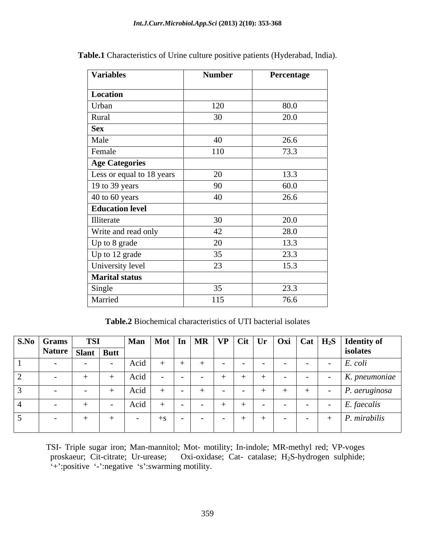| <b>Variables</b>          | <b>Number</b> | Percentage |
|---------------------------|---------------|------------|
| Location                  |               |            |
| Urban                     | 120           | 80.0       |
| Rural                     | 30            | 20.0       |
| <b>Sex</b>                |               |            |
| Male                      | 40            | 26.6       |
| Female                    | 110           | 73.3       |
| <b>Age Categories</b>     |               |            |
| Less or equal to 18 years | 20            | 13.3       |
| 19 to 39 years            | 90            | 60.0       |
| $40$ to 60 years          | 40            | 26.6       |
| <b>Education level</b>    |               |            |
| Illiterate                | 30            | 20.0       |
| Write and read only       | 42            | 28.0       |
| Up to 8 grade             | 20            | 13.3       |
| Up to 12 grade            | 35            | 23.3       |
| University level          | 23            | 15.3       |
| <b>Marital status</b>     |               |            |
| Single                    | 35            | 23.3       |
| Married                   | 115           | 76.6       |

**Table.1** Characteristics of Urine culture positive patients (Hyderabad, India).

**Table.2** Biochemical characteristics of UTI bacterial isolates

| S.No Grams        | <b>TSI</b> |      |      |  |  |  | $\boxed{\phantom{a}}$ Man   Mot   In   MR   VP   Cit   Ur   Oxi   Cat   H <sub>2</sub> S   Identity of |
|-------------------|------------|------|------|--|--|--|--------------------------------------------------------------------------------------------------------|
| Nature Slant Butt |            |      |      |  |  |  | isolates                                                                                               |
|                   |            | Acid |      |  |  |  | E. coli                                                                                                |
|                   |            | Acid |      |  |  |  | $K.$ pneumoniae                                                                                        |
|                   |            | Acio |      |  |  |  | $P.$ aeruginosa                                                                                        |
|                   |            | Acid |      |  |  |  | $E.$ faecalis                                                                                          |
|                   |            |      | $+8$ |  |  |  | P. mirabilis                                                                                           |

TSI- Triple sugar iron; Man-mannitol; Mot- motility; In-indole; MR-methyl red; VP-voges proskaeur; Cit-citrate; Ur-urease; Oxi-oxidase; Cat- catalase; H<sub>2</sub>S-hydrogen sulphide; Oxi-oxidase; Cat-catalase; H<sub>2</sub>S-hydrogen sulphide;  $\cdot$ +':positive '-':negative 's':swarming motility.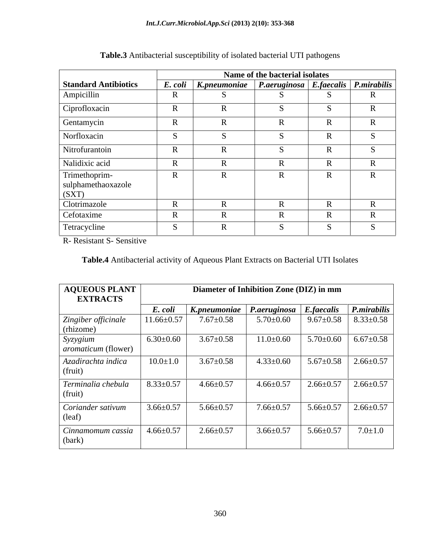|                             |                   |                                                                  | Name of the bacterial isolates |                   |  |
|-----------------------------|-------------------|------------------------------------------------------------------|--------------------------------|-------------------|--|
| <b>Standard Antibiotics</b> |                   | E. coli   K.pneumoniae   P.aeruginosa   E.faecalis   P.mirabilis |                                |                   |  |
| Ampicillin                  | D<br>K            |                                                                  |                                |                   |  |
| Ciprofloxacin               | D<br>$\mathbf{r}$ |                                                                  |                                |                   |  |
| Gentamycin                  | D<br>- LZ         |                                                                  |                                | $\mathbf{D}$      |  |
| Norfloxacin                 |                   |                                                                  |                                |                   |  |
| Nitrofurantoin              | $\mathbf{D}$      |                                                                  |                                | $\sqrt{ }$        |  |
| Nalidixic acid              | $\mathbf{R}$      |                                                                  |                                | $\mathbf{r}$      |  |
| Trimethoprim-               | $\mathbf{R}$      |                                                                  |                                | $\mathbf{D}$<br>K |  |
| sulphamethaoxazole<br>(SXT) |                   |                                                                  |                                |                   |  |
| Clotrimazole                | D                 |                                                                  |                                | $\sqrt{ }$        |  |
| Cefotaxime                  | $\mathbf{D}$<br>K |                                                                  |                                |                   |  |
| Tetracycline                |                   |                                                                  |                                |                   |  |

### **Table.3** Antibacterial susceptibility of isolated bacterial UTI pathogens

R- Resistant S- Sensitive

### **Table.4** Antibacterial activity of Aqueous Plant Extracts on Bacterial UTI Isolates

| <b>AQUEOUS PLANT</b><br><b>EXTRACTS</b> |                 | Diameter of Inhibition Zone (DIZ) in mm                |                 |                 |                                   |
|-----------------------------------------|-----------------|--------------------------------------------------------|-----------------|-----------------|-----------------------------------|
|                                         | E. coli         | K.pneumoniae   P.aeruginosa   E.faecalis   P.mirabilis |                 |                 |                                   |
| Zingiber officinale<br>(rhizome)        | $1.66 \pm 0.57$ | $7.67{\pm}0.58$                                        | $5.70 \pm 0.60$ |                 | $9.67 \pm 0.58$   8.33 $\pm$ 0.58 |
| Syzygium<br><i>aromaticum</i> (flower)  | $6.30{\pm}0.60$ | $3.67 \pm 0.58$                                        | $11.0 \pm 0.60$ |                 | $5.70 \pm 0.60$ 6.67 $\pm 0.58$   |
| Azadirachta indica<br>(fruit)           | $10.0 \pm 1.0$  | $3.67 \pm 0.58$                                        | $4.33 \pm 0.60$ |                 | $5.67 \pm 0.58$ 2.66 $\pm 0.57$   |
| Terminalia chebula<br>(fruit)           | $8.33 \pm 0.57$ | $4.66 \pm 0.57$                                        | $4.66 \pm 0.57$ | $2.66 \pm 0.57$ | $2.66 \pm 0.57$                   |
| Coriander sativum<br>(leaf)             | $3.66 \pm 0.57$ | $5.66 \pm 0.57$                                        | $7.66 \pm 0.57$ | $5.66 \pm 0.57$ | $2.66 \pm 0.57$                   |
| Cinnamomum cassia<br>(bark)             | $4.66 \pm 0.57$ | $2.66 \pm 0.57$                                        | $3.66 \pm 0.57$ | $5.66 \pm 0.57$ | $7.0 \pm 1.0$                     |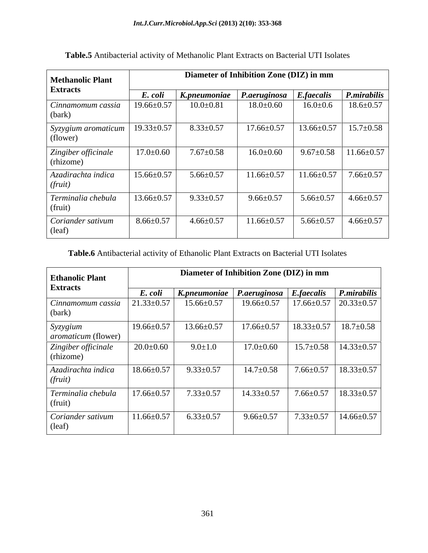| <b>Methanolic Plant</b>                |                  |                 | Diameter of Inhibition Zone (DIZ) in mm  |                  |                  |
|----------------------------------------|------------------|-----------------|------------------------------------------|------------------|------------------|
| <b>Extracts</b>                        | E. coli          |                 | K.pneumoniae   P.aeruginosa   E.faecalis |                  | P.mirabilis      |
| Cinnamomum cassia<br>(bark)            | $19.66 \pm 0.57$ | $10.0 \pm 0.81$ | $18.0 \pm 0.60$                          | $16.0 \pm 0.6$   | $18.6 \pm 0.57$  |
| Syzygium <i>aromaticum</i><br>(flower) | $19.33 \pm 0.57$ | $8.33 \pm 0.57$ | $17.66 \pm 0.57$                         | $13.66 \pm 0.57$ | $15.7 \pm 0.58$  |
| Zingiber officinale<br>(rhizome)       | $17.0 \pm 0.60$  | $7.67{\pm}0.58$ | $16.0 \pm 0.60$                          | $9.67 \pm 0.58$  | $11.66 \pm 0.57$ |
| Azadirachta indica<br>(fruit)          | $15.66 \pm 0.57$ | $5.66 \pm 0.57$ | $11.66 \pm 0.57$                         | $11.66 \pm 0.57$ | $7.66 \pm 0.57$  |
| Terminalia chebula<br>(fruit)          | $13.66 \pm 0.57$ | $9.33 \pm 0.57$ | $9.66 \pm 0.57$                          | $5.66 \pm 0.57$  | $4.66 \pm 0.57$  |
| Coriander sativum<br>(leaf)            | $8.66 \pm 0.57$  | $4.66 \pm 0.57$ | $11.66 \pm 0.57$                         | $5.66 \pm 0.57$  | $4.66 \pm 0.57$  |

**Table.5** Antibacterial activity of Methanolic Plant Extracts on Bacterial UTI Isolates

## **Table.6** Antibacterial activity of Ethanolic Plant Extracts on Bacterial UTI Isolates

| <b>Ethanolic Plant</b>                 |                  | Diameter of Inhibition Zone (DIZ) in mm |                                         |                                    |                                    |
|----------------------------------------|------------------|-----------------------------------------|-----------------------------------------|------------------------------------|------------------------------------|
| <b>Extracts</b>                        | E. coli          | K.pneumoniae                            | $\vert$ P.aeruginosa $\vert$ E.faecalis |                                    | $\sum_{n=1}^{\infty}$ P.mirabilis  |
| Cinnamomum cassia<br>(bark)            | $21.33 \pm 0.57$ | $15.66 \pm 0.57$                        | $19.66 \pm 0.57$                        | $17.66 \pm 0.57$                   | $20.33 \pm 0.57$                   |
| Syzygium<br><i>aromaticum</i> (flower) | $19.66 \pm 0.57$ | $13.66 \pm 0.57$                        | $17.66 \pm 0.57$                        | $18.33 \pm 0.57$   $18.7 \pm 0.58$ |                                    |
| Zingiber officinale<br>(rhizome)       | $20.0\pm0.60$    | $9.0 \pm 1.0$                           | $17.0 \pm 0.60$                         |                                    | $15.7 \pm 0.58$   $14.33 \pm 0.57$ |
| Azadirachta indica<br>(fruit)          | $18.66 \pm 0.57$ | $9.33 \pm 0.57$                         | $14.7 \pm 0.58$                         | $7.66 \pm 0.57$                    | $18.33 \pm 0.57$                   |
| Terminalia chebula<br>(fruit)          | $17.66 \pm 0.57$ | $7.33 \pm 0.57$                         | $14.33 \pm 0.57$                        | $7.66 \pm 0.57$                    | $18.33 \pm 0.57$                   |
| Coriander sativum<br>(leaf)            | $11.66 \pm 0.57$ | $6.33 \pm 0.57$                         | $9.66 \pm 0.57$                         |                                    | $7.33 \pm 0.57$   14.66 $\pm$ 0.57 |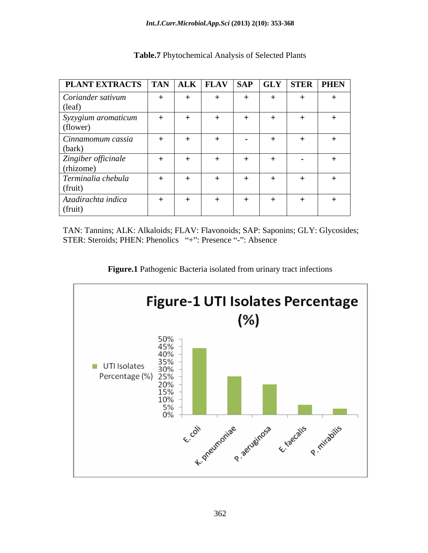| <b>PLANT EXTRACTS</b>   TAN   ALK   FLAV   SAP   GLY   STER   PHEN   |     |  |     |               |  |
|----------------------------------------------------------------------|-----|--|-----|---------------|--|
| Coriander sativum<br>(leaf)                                          |     |  | $+$ |               |  |
| $\begin{array}{c} \nSyzygium\ aromaticum \\ \n(flower)\n\end{array}$ |     |  |     |               |  |
| Cinnamomum cassia<br>(bark)                                          |     |  | $+$ |               |  |
| Zingiber officinale<br>(rhizome)                                     | $+$ |  | $+$ | $\sim$ $\sim$ |  |
| Terminalia chebula<br>(fruit)                                        |     |  |     |               |  |
| Azadirachta indica<br>(fruit)                                        |     |  | $+$ |               |  |

**Table.7** Phytochemical Analysis of Selected Plants

TAN: Tannins; ALK: Alkaloids; FLAV: Flavonoids; SAP: Saponins; GLY: Glycosides; STER: Steroids; PHEN: Phenolics "+": Presence "-": Absence

**Figure.1** Pathogenic Bacteria isolated from urinary tract infections

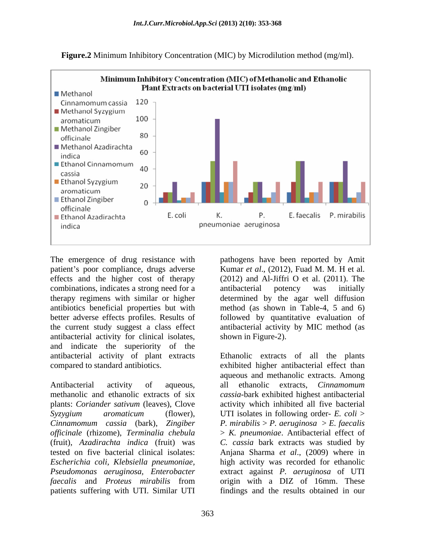

**Figure.2** Minimum Inhibitory Concentration (MIC) by Microdilution method (mg/ml).

The emergence of drug resistance with pathogens have been reported by Amit patient's poor compliance, drugs adverse Kumar *et al.*, (2012), Fuad M. M. H et al. effects and the higher cost of therapy (2012) and Al-Jiffri O et al. (2011).The combinations, indicates a strong need for a antibacterial potency was initially therapy regimens with similar or higher determined by the agar well diffusion antibiotics beneficial properties but with method (as shown in Table-4, 5 and 6) better adverse effects profiles. Results of the current study suggest a class effect antibacterial activity by MIC method (as antibacterial activity for clinical isolates, and indicate the superiority of the antibacterial activity of plant extracts Ethanolic extracts of all the plants compared to standard antibiotics. exhibited higher antibacterial effect than

Antibacterial activity of aqueous, all ethanolic extracts, Cinnamomum methanolic and ethanolic extracts of six *cassia-*bark exhibited highest antibacterial plants: *Coriander sativum* (leaves), Clove activity which inhibited all five bacterial *Syzygium aromaticum* (flower), UTI isolates in following order- *E. coli* > *Cinnamomum cassia* (bark), *Zingiber officinale* (rhizome), *Terminalia chebula* > *K. pneumoniae*. Antibacterial effect of (fruit), *Azadirachta indica* (fruit) was *C. cassia* bark extracts was studied by tested on five bacterial clinical isolates: Anjana Sharma *et al*., (2009) where in *Escherichia coli, Klebsiella pneumoniae,* high activity was recorded for ethanolic *Pseudomonas aeruginosa, Enterobacter* extract against *P. aeruginosa* of UTI *faecalis* and *Proteus mirabilis* from patients suffering with UTI. Similar UTI findings and the results obtained in our

antibacterial potency was initially followed by quantitative evaluation of shown in Figure-2).

aqueous and methanolic extracts. Among all ethanolic extracts, *Cinnamomum P. mirabilis* > *P. aeruginosa* > *E. faecalis* origin with a DIZ of 16mm. These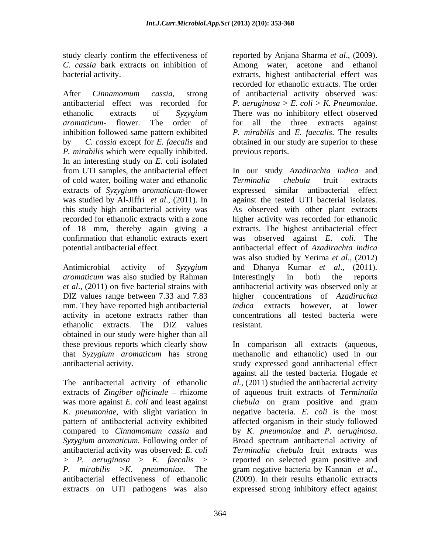study clearly confirm the effectiveness of reported by Anjana Sharma et al., (2009). *C. cassia* bark extracts on inhibition of

After *Cinnamomum cassia*, strong of antibacterial activity observed was: antibacterial effect was recorded for  $P$ . aeruginosa > E. coli > K. Pneumoniae. ethanolic extracts of *Syzygium aromaticum*- flower. The order of inhibition followed same pattern exhibited *P. mirabilis* and *E. faecalis*. The results by *C*. *cassia* except for *E. faecalis* and obtained in our study are superior to these *P. mirabilis* which were equally inhibited. In an interesting study on *E.* coli isolated of cold water, boiling water and ethanolic Terminalia chebula fruit extracts extracts of *Syzygium aromaticum*-flower

Antimicrobial activity of *Syzygium* and Dhanya Kumar et al., (2011). *aromaticum* was also studied by Rahman Interestingly in both the reports mm. They have reported high antibacterial *indica* extracts however, at lower activity in acetone extracts rather than ethanolic extracts. The DIZ values obtained in our study were higher than all these previous reports which clearly show

The antibacterial activity of ethanolic extracts of *Zingiber officinale* – rhizome compared to *Cinnamomum cassia* and *Syzygium aromaticum.* Following order of antibacterial effectiveness of ethanolic extracts on UTI pathogens was also

bacterial activity. extracts, highest antibacterial effect was reported by Anjana Sharma *et al*., (2009). Among water, acetone and ethanol recorded for ethanolic extracts. The order *P. aeruginosa <sup>&</sup>gt; E. coli <sup>&</sup>gt; K. Pneumoniae*. There was no inhibitory effect observed for all the three extracts against previous reports.

from UTI samples, the antibacterial effect In our study *Azadirachta indica* and was studied by Al-Jiffri *et al*., (2011). In against the tested UTI bacterial isolates. this study high antibacterial activity was As observed with other plant extracts recorded for ethanolic extracts with a zone higher activity was recorded for ethanolic of 18 mm, thereby again giving a extracts. The highest antibacterial effect confirmation that ethanolic extracts exert was observed against *E. coli*. The potential antibacterial effect. antibacterial effect of *Azadirachta indica et al*., (2011) on five bacterial strains with antibacterial activity was observed only at DIZ values range between 7.33 and 7.83 higher concentrations of *Azadirachta Terminalia chebula* fruit extracts expressed similar antibacterial effect was also studied by Yerima *et al*., (2012) and Dhanya Kumar *et al*., (2011). Interestingly in both the reports *indica* extracts however, at lower concentrations all tested bacteria were resistant.

that *Syzygium aromaticum* has strong methanolic and ethanolic) used in our antibacterial activity. study expressed good antibacterial effect was more against *E. coli* and least against *chebula* on gram positive and gram *K. pneumoniae*, with slight variation in negative bacteria. *E. coli* is the most pattern of antibacterial activity exhibited affected organism in their study followed antibacterial activity was observed: *E. coli Terminalia chebula* fruit extracts was *<sup>&</sup>gt; P. aeruginosa <sup>&</sup>gt; E. faecalis > P. mirabilis >K. pneumoniae*. The In comparison all extracts (aqueous, against all the tested bacteria. Hogade *et al.,* (2011) studied the antibacterial activity of aqueous fruit extracts of *Terminalia*  by *K. pneumoniae* and *P. aeruginosa*. Broad spectrum antibacterial activity of reported on selected gram positive and gram negative bacteria by Kannan *et al*.,  $(2009)$ . In their results ethanolic extracts expressed strong inhibitory effect against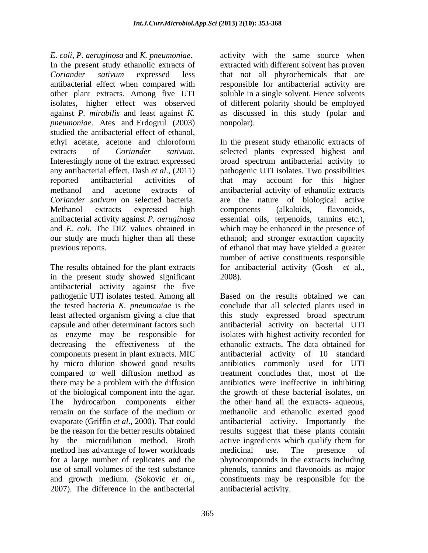*E. coli, P. aeruginosa* and *K. pneumoniae*. activity with the same source when In the present study ethanolic extracts of extracted with different solvent has proven *Coriander sativum* expressed less that not all phytochemicals that are antibacterial effect when compared with responsible for antibacterial activity are other plant extracts. Among five UTI soluble in a single solvent. Hence solvents isolates, higher effect was observed of different polarity should be employed against *P. mirabilis* and least against *K.*  as discussed in this study (polar and *pneumoniae*. Ates and Erdogrul (2003) nonpolar). studied the antibacterial effect of ethanol,<br>ethyl acetate, acetone and chloroform In the present study ethanolic extracts of extracts of *Coriander sativum*. selected plants expressed highest and Interestingly none of the extract expressed broad spectrum antibacterial activity to any antibacterial effect. Dash *et al*., (2011) pathogenic UTI isolates. Two possibilities reported antibacterial activities of that may account for this higher methanol and acetone extracts of antibacterial activity of ethanolic extracts *Coriander sativum* on selected bacteria. are the nature of biological active Methanol extracts expressed high antibacterial activity against *P. aeruginosa* essential oils, terpenoids, tannins etc.), and *E. coli.* The DIZ values obtained in which may be enhanced in the presence of our study are much higher than all these ethanol; and stronger extraction capacity previous reports. of ethanol that may have yielded a greater

The results obtained for the plant extracts in the present study showed significant 2008). antibacterial activity against the five pathogenic UTI isolates tested. Among all least affected organism giving a clue that this study expressed broad spectrum by micro dilution showed good results compared to well diffusion method as method has advantage of lower workloads and medicinal use. The presence of and growth medium. (Sokovic *et al.*, constituents may be responsible for the 2007). The difference in the antibacterial antibacterial activity.

nonpolar).

In the present study ethanolic extracts of selected plants expressed highest and broad spectrum antibacterial activity to components (alkaloids, flavonoids, number of active constituents responsible for antibacterial activity (Gosh *et* al., 2008).

the tested bacteria *K. pneumoniae* is the conclude that all selected plants used in capsule and other determinant factors such antibacterial activity on bacterial UTI as enzyme may be responsible for isolates with highest activity recorded for decreasing the effectiveness of the ethanolic extracts. The data obtained for components present in plant extracts. MIC antibacterial activity of 10 standard there may be a problem with the diffusion antibiotics were ineffective in inhibiting of the biological component into the agar. the growth of these bacterial isolates, on The hydrocarbon components either the other hand all the extracts- aqueous, remain on the surface of the medium or a methanolic and ethanolic exerted good evaporate (Griffin *et al*., 2000). That could antibacterial activity. Importantly the be the reason for the better results obtained results suggest that these plants contain by the microdilution method. Broth active ingredients which qualify them for for a large number of replicates and the phytocompounds in the extracts including use of small volumes of the test substance phenols, tannins and flavonoids as major Based on the results obtained we can this study expressed broad spectrum antibiotics commonly used for UTI treatment concludes that, most of the methanolic and ethanolic exerted good medicinal use. The presence of constituents may be responsible for the antibacterial activity.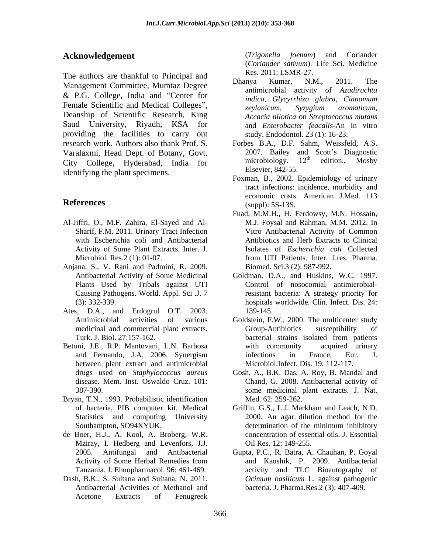The authors are thankful to Principal and<br>Dhanya Kumar, N.M., 2011. The Management Committee, Mumtaz Degree & P.G. College, India and "Center for *indica*, *Glycyrrhiza glabra*, *Cinnamum* Female Scientific and Medical Colleges", <br>zeylanicum, Syzygium aromaticum, Deanship of Scientific Research, King Saud University, Riyadh, KSA for providing the facilities to carry out research work. Authors also thank Prof. S. Forbes B.A., D.F. Sahm, Weissfeld, A.S. Varalaxmi, Head Dept. of Botany, Govt. 2007. Bailey and Scott's Diagnostic<br>City College. Hyderabad. India for microbiology. 12<sup>th</sup> edition., Mosby City College, Hyderabad, India for identifying the plant specimens.

- Al-Jiffri, O., M.F. Zahira, El-Sayed and Al- Sharif, F.M. 2011. Urinary Tract Infection with Escherichia coli and Antibacterial Activity of Some Plant Extracts. Inter. J.
- Anjana, S., V. Rani and Padmini, R. 2009. Plants Used by Tribals against UTI
- Ates, D.A., and Erdogrul O.T. 2003.
- Betoni, J.E., R.P. Mantovani, L.N. Barbosa between plant extract and antimicrobial
- Bryan, T.N., 1993. Probabilistic identification
- de Boer, H.J., A. Kool, A. Broberg, W.R. Mziray, I. Hedberg and Levenfors, J.J.
- Dash, B.K., S. Sultana and Sultana, N. 2011. Antibacterial Activities of Methanol and Acetone Extracts of Fenugreek

**Acknowledgement** (*Trigonella foenum*) and Coriander (*Trigonella foenum*) and Coriander (*Coriander sativum*). Life Sci. Medicine Res. 2011: LSMR-27.

- Dhanya Kumar, N.M., 2011. The antimicrobial activity of *Azadirachta indica, Glycyrrhiza glabra, Cinnamum zeylanicum, Syzygium aromaticum, Accacia nilotica* on *Streptococcus mutans* and *Enterobacter feacalis*-An in vitro study. Endodontol. 23 (1): 16-23.
- 2007. Bailey and Scott's Diagnostic microbiology.  $12<sup>th</sup>$  edition., Mosby <sup>th</sup> edition., Mosby Elsevier, 842-55.
- **References** (suppl): 5S-13S. Foxman, B., 2002. Epidemiology of urinary tract infections: incidence, morbidity and economic costs. American J.Med. 113 (suppl): 5S-13S.
	- Microbiol. Res.2 (1): 01-07. Trom UTI Patients. Inter. J.res. Pharma. Fuad, M.M.H., H. Ferdowsy, M.N. Hossain, M.J. Foysal and Rahman, M.M. 2012. In Vitro Antibacterial Activity of Common Antibiotics and Herb Extracts to Clinical Isolates of *Escherichia coli* Collected from UTI Patients. Inter. J.res. Pharma. Biomed. Sci.3 (2): 987-992.
	- Antibacterial Activity of Some Medicinal Goldman, D.A., and Huskins, W.C. 1997. Causing Pathogens. World. Appl. Sci .J. 7 resistant bacteria: A strategy priority for (3): 332-339. hospitals worldwide. Clin. Infect. Dis. 24: Control of nosocomial antimicrobial-139-145.
	- Antimicrobial activities of various Goldstein, F.W., 2000. The multicenter study medicinal and commercial plant extracts. Turk. J. Biol. 27:157-162. bacterial strains isolated from patients and Fernando, J.A. 2006. Synergism Group-Antibiotics susceptibility of with community  $-$  acquired urinary infections in France. Eur. J. Microbiol.Infect. Dis. 19: 112-117.
	- drugs used on *Staphylococcus aureus* Gosh, A., B.K. Das, A. Roy, B. Mandal and disease. Mem. Inst. Oswaldo Cruz. 101: Chand, G. 2008. Antibacterial activity of 387-390. some medicinal plant extracts. J. Nat. Med. 62: 259-262.
	- of bacteria, PIB computer kit. Medical Griffin, G.S., L.J. Markham and Leach, N.D. Statistics and computing University 2000. An agar dilution method for the Southampton, SO94XYUK. determination of the minimum inhibitory determination of the minimum inhibitory concentration of essential oils. J. Essential Oil Res. 12: 149-255.
	- 2005. Antifungal and Antibacterial Gupta, P.C., R. Batra, A. Chauhan, P. Goyal Activity of Some Herbal Remedies from and Kaushik, P. 2009. Antibacterial Tanzania. J. Ehnopharmacol. 96: 461-469. activity and TLC Bioautography of and Kaushik, P. 2009. Antibacterial *Ocimum basilicum* L. against pathogenic bacteria. J. Pharma.Res.2 (3): 407-409.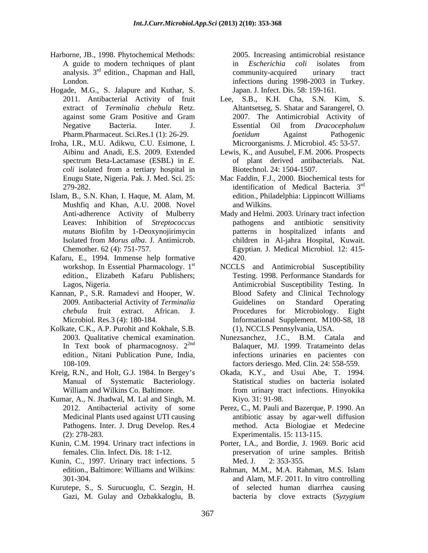- Harborne, JB., 1998. Phytochemical Methods: A guide to modern techniques of plant in *Escherichia coli* isolates from
- Hogade, M.G., S. Jalapure and Kuthar, S.
- Iroha, I.R., M.U. Adikwu, C.U. Esimone, I.
- Islam, B., S.N. Khan, I. Haque, M. Alam, M. Mushfiq and Khan, A.U. 2008. Novel and Wilkins.<br>Anti-adherence Activity of Mulberry Mady and Helmi.
- Kafaru, E., 1994. Immense help formative
- Kannan, P., S.R. Ramadevi and Hooper, W.
- Kolkate, C.K., A.P. Purohit and Kokhale, S.B.
- 
- Kumar, A., N. Jhadwal, M. Lal and Singh, M.
- 
- Kunin, C., 1997. Urinary tract infections. 5 Med. J. 2: 353-355.
- Kurutepe, S., S. Surucuoglu, C. Sezgin, H.

analysis.  $3^{rd}$  edition., Chapman and Hall, community-acquired urinary tract London. infections during 1998-2003 in Turkey. 2005. Increasing antimicrobial resistance in *Escherichia coli* isolates from community-acquired urinary tract Japan. J. Infect. Dis. 58: 159-161.

- 2011. Antibacterial Activity of fruit Lee, S.B., K.H. Cha, S.N. Kim, S. extract of *Terminalia chebula* Retz. Altantsetseg, S. Shatar and Sarangerel, O. against some Gram Positive and Gram 2007. The Antimicrobial Activity of Negative Bacteria. Inter. J. Essential Oil from *Dracocephalum* Pharm.Pharmaceut. Sci.Res.1 (1): 26-29. *foetidum* Against Pathogenic 2007. The Antimicrobial Activity of Essential Oil from *Dracocephalum foetidum* Against Pathogenic Microorganisms. J. Microbiol. 45: 53-57.
- Aibinu and Anadi, E.S. 2009. Extended Lewis, K., and Ausubel, F.M. 2006. Prospects spectrum Beta-Lactamase (ESBL) in *E.*  of plant derived antibacterials. Nat. *coli* isolated from a tertiary hospital in Biotechnol. 24: 1504-1507. Biotechnol. 24: 1504-1507.
- Enugu State, Nigeria. Pak. J. Med. Sci. 25: Mac Faddin, F.J., 2000. Biochemical tests for 279-282. identification of Medical Bacteria*.* 3 rd edition., Philadelphia: Lippincott Williams and Wilkins.
- Anti-adherence Activity of Mulberry Mady and Helmi. 2003. Urinary tract infection Leaves: Inhibition of *Streptococcus* pathogens and antibiotic sensitivity *mutans* Biofilm by 1-Deoxynojirimycin patterns in hospitalized infants and Isolated from *Morus alba*. J. Antimicrob. children in Al-jahra Hospital, Kuwait. Chemother. 62 (4): 751-757. Egyptian. J. Medical Microbiol. 12: 415 pathogens and antibiotic sensitivity 420.
- workshop. In Essential Pharmacology. 1<sup>st</sup> NCCLS and Antimicrobial Susceptibility edition., Elizabeth Kafaru Publishers; Testing. 1998. Performance Standards for Lagos, Nigeria. Antimicrobial Susceptibility Testing. In 2009. Antibacterial Activity of *Terminalia chebula* fruit extract. African. J. Microbiol. Res.3 (4): 180-184. Informational Supplement. M100-S8, 18 Blood Safety and Clinical Technology Guidelines on Standard Operating Procedures for Microbiology. Eight (1), NCCLS Pennsylvania, USA.
- 2003. Qualitative chemical examination. Nunezsanchez, J.C., B.M. Catala and In Text book of pharmacognosy. 2<sup>2nd</sup> Balaquer, MJ. 1999. Tratameinto delas edition., Nitani Publication Pune, India, infections urinaries en pacientes con 108-109. factors deriesgo. Med. Clin. 24: 558-559.
- Kreig, R.N., and Holt, G.J. 1984. In Bergey s Okada, K.Y., and Usui Abe, T. 1994. Manual of Systematic Bacteriology. Statistical studies on bacteria isolated William and Wilkins Co. Baltimore. The metal of the multiple state infections. Hinvokika from urinary tract infections. Hinyokika Kiyo*.* 31: 91-98.
	- 2012. Antibacterial activity of some Perez, C., M. Pauli and Bazerque, P. 1990. An Medicinal Plants used against UTI causing antibiotic assay by agar-well diffusion Pathogens. Inter. J. Drug Develop. Res.4 method. Acta Biologiae et Medecine (2): 278-283. Experimentalis. 15: 113-115.
- Kunin, C.M. 1994. Urinary tract infections in Porter, I.A., and Bordie, J. 1969. Boric acid females. Clin. Infect. Dis. 18: 1-12. preservation of urine samples. British Med. J. 2: 353-355.
	- edition., Baltimore: Williams and Wilkins: Rahman, M.M., M.A. Rahman, M.S. Islam 301-304. and Alam, M.F. 2011. In vitro controlling Gazi, M. Gulay and Ozbakkaloglu, B. bacteria by clove extracts (*Syzygium* Rahman, M.M., M.A. Rahman, M.S. Islam of selected human diarrhea causing